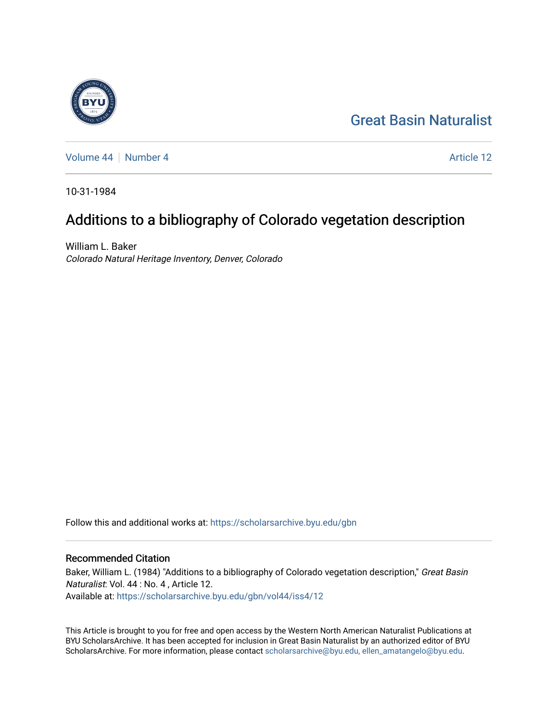# [Great Basin Naturalist](https://scholarsarchive.byu.edu/gbn)

[Volume 44](https://scholarsarchive.byu.edu/gbn/vol44) | [Number 4](https://scholarsarchive.byu.edu/gbn/vol44/iss4) Article 12

10-31-1984

# Additions to a bibliography of Colorado vegetation description

William L. Baker Colorado Natural Heritage Inventory, Denver, Colorado

Follow this and additional works at: [https://scholarsarchive.byu.edu/gbn](https://scholarsarchive.byu.edu/gbn?utm_source=scholarsarchive.byu.edu%2Fgbn%2Fvol44%2Fiss4%2F12&utm_medium=PDF&utm_campaign=PDFCoverPages) 

## Recommended Citation

Baker, William L. (1984) "Additions to a bibliography of Colorado vegetation description," Great Basin Naturalist: Vol. 44 : No. 4 , Article 12. Available at: [https://scholarsarchive.byu.edu/gbn/vol44/iss4/12](https://scholarsarchive.byu.edu/gbn/vol44/iss4/12?utm_source=scholarsarchive.byu.edu%2Fgbn%2Fvol44%2Fiss4%2F12&utm_medium=PDF&utm_campaign=PDFCoverPages) 

This Article is brought to you for free and open access by the Western North American Naturalist Publications at BYU ScholarsArchive. It has been accepted for inclusion in Great Basin Naturalist by an authorized editor of BYU ScholarsArchive. For more information, please contact [scholarsarchive@byu.edu, ellen\\_amatangelo@byu.edu.](mailto:scholarsarchive@byu.edu,%20ellen_amatangelo@byu.edu)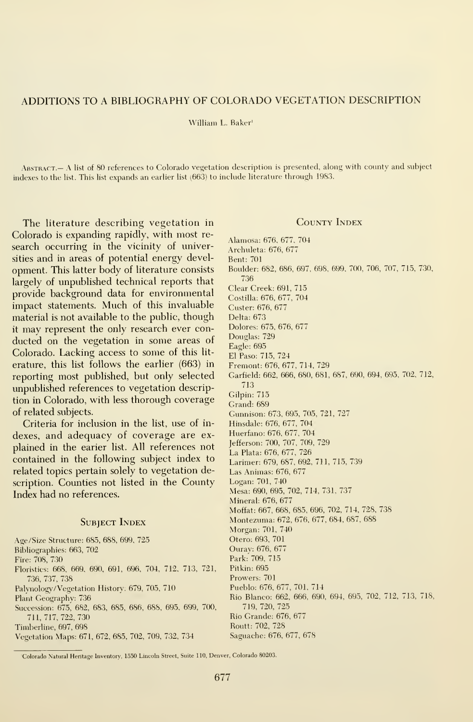### ADDITIONS TO A BIBLIOGRAPHY OF COLORADO VEGETATION DESCRIPTION

#### William L. Baker'

ABSTRACT.— A list of 80 references to Colorado vegetation description is presented, along with county and subject indexes to the list. This list expands an earlier list (663) to include literature through 1983.

The literature describing vegetation in Colorado is expanding rapidly, with most re search occurring in the vicinity of universities and in areas of potential energy devel opment. This latter body of literature consists largely of unpublished technical reports that provide background data for environmental impact statements. Much of this invaluable material is not available to the public, though it may represent the only research ever con ducted on the vegetation in some areas of Colorado. Lacking access to some of this lit erature, this list follows the earlier (663) in reporting most published, but only selected impublished references to vegetation description in Colorado, with less thorough coverage of related subjects.

Criteria for inclusion in the list, use of in dexes, and adequacy of coverage are ex plained in the earier list. All references not contained in the following subject index to related topics pertain solely to vegetation description. Counties not listed in the County Index had no references.

#### SUBJECT INDEX

Age/Size Structure; 685, 688, 699, 725 Bibliographies; 663, 702 Fire; 708, 730 Floristics; 668, 669, 690, 691, 696, 704, 712, 713, 721, 736, 737, 738 Palvnology/Vegetation History. 679, 705, 710 Plant Geography; 736 Succession: 675, 682, 683, 685, 686, 688, 695, 699, 700, 711,717,722,730 Timberline, 697, 698

Vegetation Maps: 671, 672, 685, 702, 709, 732, 734

### County Index

Alamosa: 676, 677, 704 Archuleta; 676, 677 Bent: 701 Boulder: 682, 686, 697, 698, 699, 700, 706, 707, 715, 7.30, 7.36 Clear Creek: 691, 715 Costilla; 676, 677, 704 Custer; 676, 677 Delta: 673 Dolores: 675, 676, 677 Douglas: 729 Eagle: 695 El Paso: 715, 724 Fremont; 676, 677, 714, 729 Garfield; 662, 666, 680, 681, 687, 690, 694, 695, 702, 712, 713 Gilpin: 715 Grand; 689 Gunnison: 673, 695, 705, 721, 727 Hinsdale; 676, 677, 704 Huerfano; 676, 677, 704 Jefferson: 700, 707, 709, 729 La Plata: 676, 677, 726 Larimer: 679, 687, 692, 711, 715, 739 Las Animas: 676, 677 Logan; 701, 740 Mesa; 690, 695, 702, 714, 731, 737 Mineral; 676, 677 Moffat: 667, 668, 685, 696, 702, 714, 728, 738 Montezuma; 672, 676, 677, 684, 687, 688 Morgan; 701, 740 Otero: 693, 701 Ourav; 676, 677 Park;' 709, 715 Pitkin; 695 Prowers; 701 Pueblo: 676, 677, 701, 714 Rio Blanco: 662, 666, 690, 694, 695, 702, 712, 713, 718, 719, 720, 725 Rio Grande; 676, 677 Routt; 702, 728 Saguache; 676, 677, 678

Colorado Natural Heritage Inventory, 1550 Lincoln Street, Suite 110, Denver, Colorado 80203.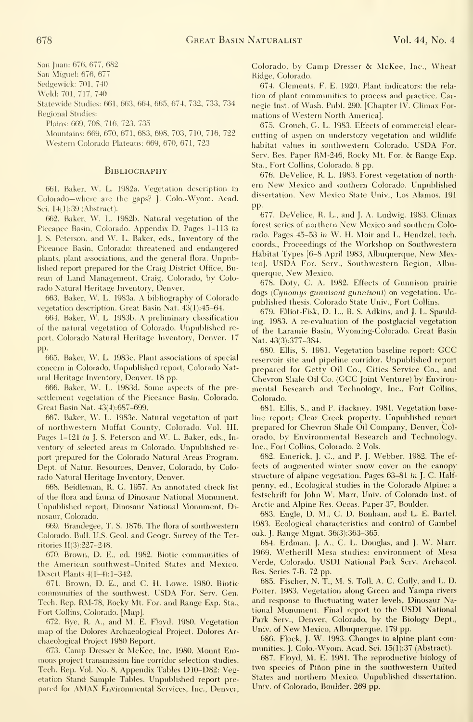San Juan: 676, 677, 682

San Miguel: 676, 677

Sed^ewick: 701, 740

Weld: 701, 717, 740

Statewide Studies: 661, 663, 664, 665, 674, 732, 733, 734 Regional Studies:

Plains: 669, 708, 716, 723, 735

Mountains: 669, 670, 671, 683, 698, 703, 710, 716, 722 Western Colorado Plateaus: 669, 670, 671, 723

#### **BIBLIOGRAPHY**

661. Baker, W. L. 1982a. Vegetation description in Colorado—where are the gaps? J. Colo.-Wyom. Acad. Sci. 14(1):39 (Abstract).

662. Baker, W. L. 1982b. Natural vegetation of the Piceance Basin, Colorado. Appendix D, Pages 1-113 in J. S. Peterson, and W. L. Baker, eds., Inventory of the Piceance Basin, Colorado: threatened and endangered plants, plant associations, and the general flora. Unpublished report prepared for the Craig District Office, Bureau of Land Management, Craig, Colorado, by Colorado Natural Heritage Inventory, Denver.

663. Baker, W. L. 1983a. A bibliography of Colorado vegetation description. Great Basin Nat. 43(l):45-64.

664. Baker, W. L. 1983b. A preliminary classification of the natural vegetation of Colorado. Unpublished re port, Colorado Natural Heritage Inventory, Denver. 17 pp.

665. Baker, W. L. 1983c. Plant associations of special concern in Colorado. Unpublished report, Colorado Natural Heritage Inventory, Denver. 18 pp.

666. Baker, W. L. 1983d. Some aspects of the pre settlement vegetation of the Piceance Basin, Colorado. Great Basin Nat. 43(4):687-699.

667. Baker, W. L. 1983e. Natural vegetation of part of northwestern Moffat County, Colorado. Vol. Ill, Pages 1-121 in J. S. Peterson and W. L. Baker, eds., Inventory of selected areas in Colorado. Unpublished re port prepared for the Colorado Natural Areas Program, Dept. of Natur. Resources, Denver, Colorado, by Colorado Natural Heritage Inventory, Denver.

668. Beidleman, R. G. 1957. An annotated check list of the flora and fauna of Dinosaur National Monument. Unpublished report. Dinosaur National Monument, Dinosaur, Colorado.

669. Brandegee, T. S. 1876. The flora of southwestern Colorado. Bull. U.S. Geol. and Geogr. Survey of the Territories II(3):227-248.

670. Brown, D. E., ed. 1982. Biotic communities of the American southwest-United States and Mexico. Desert Plants 4(1-4): 1-342.

671. Brown, D. E., and C. H. Lowe. 1980. Biotic communities of the southwest. USDA For. Serv. Gen. Tech. Rep. RM-78, Rocky Mt. For. and Range Exp. Sta., Fort Collins, Colorado. [Map].

672. Bye, R. A., and M. E. Floyd. 1980. Vegetation map of the Dolores Archaeological Project. Dolores Archaeological Project 1980 Report.

673. Camp Dresser & McKee, Inc. 1980. Mount Emmons project transmission line corridor selection studies. Tech. Rep. Vol. No. 8, Appendix Tables D10-D82: Vegetation Stand Sample Tables. Unpublished report pre pared for AMAX Environmental Services, Inc., Denver, Colorado, by Camp Dresser & McKee, Inc., Wheat Ridge, Colorado.

674. Clements, F. E. 1920. Plant indicators: the rela tion of plant communities to process and practice. Carnegie Inst. of Wash. Publ. 290. [Chapter IV. Climax Formations of Western North America].

675. Crouch, G. L. 1983. Effects of commercial clear cutting of aspen on understory vegetation and wildlife habitat values in southwestern Colorado. USDA For. Serv. Res. Paper RM-246, Rocky Mt. For. & Range Exp. Sta., Fort Collins, Colorado. 8 pp.

676. DeVelice, R. L. 1983. Forest vegetation of north ern New Mexico and southern Colorado. Unpublished dissertation. New Mexico State Univ., Los Alamos. <sup>191</sup> pp.

677. DeVelice, R. L., and J. A. Ludwig. 1983. Climax forest series of northern New Mexico and southern Colorado. Pages 45-53 in W. H. Moir and L. Hendzel, tech. coords.. Proceedings of the Workshop on Southwestern Habitat Types [6-8 April 1983, Albuquerque, New Mexico], USDA For. Serv., Southwestern Region, Albuquerque, New Mexico.

678. Doty, C. A. 1982. Effects of Gunnison prairie dogs (Cynomys gunnisoni gunnisoni) on vegetation. Unpublished thesis. Colorado State Univ., Fort Collins.

679. Elliot-Fisk, D. L., B. S. Adkins, and J. L. Spaulding. 1983. A re-evaluation of the postglacial vegetation of the Laramie Basin, Wyoming-Colorado. Great Basin Nat. 43(3):377-384.

680. Ellis, S. 1981. Vegetation baseline report: GCC reservoir site and pipeline corridor. Unpublished report prepared for Getty Oil Co., Cities Service Co., and Chevron Shale Oil Co. (GCC Joint Venture) by Environ mental Research and Technology, Inc., Fort Collins, Colorado.

681. Ellis, S., and P. Hackney. 1981. Vegetation baseline report: Clear Creek property. Unpublished report prepared for Chevron Shale Oil Company, Denver, Col orado, by Environmental Research and Technology, Inc., Fort Collins, Colorado. 2 Vols.

682. Emerick, J. C, and P. J. Webber. 1982. The ef fects of augmented winter snow cover on the canopy structure of alpine vegetation. Pages 63-81 in J. C. Halfpenny, ed., Ecological studies in the Colorado Alpine: a festschrift for John W. Marr, Univ. of Colorado Inst, of Arctic and Alpine Res. Occas. Paper 37, Boulder.

683. Engle, D. M., C. D. Bonham, and L. E. Bartel. 1983. Ecological characteristics and control of Gambel oak. J. Range Mgmt. 36(3):363-365.

684. Erdinan, J. A., C. L. Douglas, and J. W. Marr. 1969. Wetherill Mesa studies: environment of Mesa Verde, Colorado. USDI National Park Serv. Archaeol. Res. Series 7-B. 72 pp.

685. Fischer, N. T., M. S. Toll, A. C. Cully, and L. D. Potter. 1983. Vegetation along Green and Yampa rivers and response to fluctuating water levels. Dinosaur National Monument. Final report to the USDI National Park Serv., Denver, Colorado, by the Biology Dept., Univ. of New Mexico, Albuquerque. <sup>179</sup> pp.

686. Flock, J. W. 1983. Changes in alpine plant communities. J. Colo.-Wyom. Acad. Sci. 15(1):37 (Abstract).

687. Floyd, M. E. 1981. The reproductive biology of two species of Pinon pine in the southwestern United States and northern Mexico. Unpublished dissertation. Univ. of Colorado, Boulder. 269 pp.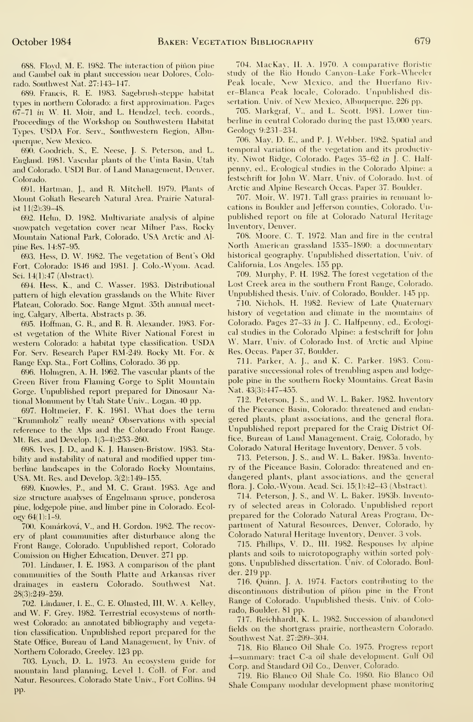688. Flovd, M. E. 1982. The interaction of pinon pine and Gambel oak in plant succession near Dolores, Colorado. Southwest Nat. 27:143-147.

689. Francis, R. E. 1983. Sagebrush-steppe habitat tvpes in northern Colorado: a first approximation. Pages 67-71 in W. H. Moir, and L. Hendzel, tech. coords., Proceedings of the Workshop on Southwestern Habitat Tvpes. USDA For. Serv., Southwestern Region, Albuquerque, New Mexico.

690. Coodrich, S., E. Neese, J. S. Peterson, and L. England. 1981. Vascular plants of the Uinta Basin, Utah and Colorado. USDI Bur. of Land Management, Denver, Colorado.

691. Hartinan, J., and R. Mitchell. 1979. Plants of Mount Goliath Research Natural Area. Prairie Naturalist 11(2):39-48.

692. Helm, D. 1982. Multivariate analysis of alpine snowpatch vegetation cover near Milner Pass, Rocky Mountain National Park, Colorado, USA Arctic and Alpine Res. 14:87-95.

693. Hess, D. W. 1982. The vegetation of Bent's Old Fort, Colorado: 1846 and 1981. j. Colo.-Wyom. Acad. Sci. 14(1):47 (Abstract).

694. Hess, K., and C. Wasser. 1983. Distributional pattern of high elevation grasslands on the White River Plateau, Colorado. Soc. Range Mgmt. 35th annual meeting, Calgarv, Alberta, Abstracts p. 36.

695. Hoffman, C. R., and R. R. Alexander. 1983. Forest vegetation of the White River National Forest in western Colorado: <sup>a</sup> habitat type classification. USDA For. Serv. Research Paper RM-249. Rocky Mt. For. & Range Exp. Sta., Fort Collins, Colorado. 36 pp.

696. Holmgren, A. H. 1962. The vascular plants of the Green River from Flaming Gorge to Split Mountain Gorge. Unpublished report prepared for Dinosaur National Monument by Utah State Univ., Logan. 40 pp.

697. Holtmeier, F. K. 1981. What does the term "Kmmmholz" really mean? Observations with special reference to the Alps and the Colorado Front Range. Mt. Res. and Develop. l(3-4):253-260.

698. Ives, J. D., and K. J. Hansen-Bristow. 1983. Stabilitv and instabilitv of natural and modified upper timberline landscapes in the Colorado Rockv Mountains, USA. Mt. Res. and Develop. 3(2):149-155.

699. Knowles, P., and M. C. Grant. 1983. Age and size structure analyses of Engelmann spruce, ponderosa pine, lodgepole pine, and limber pine in Colorado. Ecol ogy  $64(1):1-9.$ 

700. Komarkova, V., and H. Gordon. 1982. The recovery of plant commimities after disturbance along the Front Range, Colorado. Unpublished report, Colorado Comission on Higher Education, Denver. 271 pp.

701. Lindauer, L E. 1983. A comparison of the plant communities of the South Platte and Arkansas river drainages in eastern Colorado. Southwest Nat. 28(3):249-259.

702. Lindauer, L E., C. E. Olmsted, IIL W. A. Kelley, and W. F. Grev. 1982. Terrestrial ecosystems of north west Colorado: an annotated bibliography and vegetation classification. Unpublished report prepared for the State Office, Bureau of Land Management, by Univ. of Northern Colorado, Greeley. 123 pp.

703. Lvnch, D. L. 1973. An ecosystem guide for mountain land planning. Level 1. Coll. of For. and Natur. Resources, Colorado State Univ., Fort Collins. 94 pp.

704. MacKay, H. A. 1970. A comparative floristic studv of the Rio Hondo Canyon-Lake Fork- Wheeler Peak locale. New Mexico, and the Huerfano Riv er-Btanca Peak locale, Colorado. Unpublished dis sertation. Univ. of New Mexico, Albuquerque. 226 pp.

705. Markgraf, V., and L. Scott. 1981. Lower tim berline in central Colorado during the past 15,000 years. Geologv 9:231-234.

706. May, D. E., and P. J. Webber. 1982. Spatial and temporal variation of the vegetation and its productivity, Niwot Ridge, Colorado. Pages 35-62 in J. C. Halfpenny, ed., Ecological studies in the Colorado Alpine: a festschrift for John W. Marr, Univ. of Colorado. Inst, of Arctic and Alpine Research Occas. Paper 37. Boulder.

707. Moir, W. 1971. Tall grass prairies in remnant lo cations in Boulder and Jefferson counties, Colorado. Unpublished report on file at Colorado Natural Heritage Inventory, Denver.

708. Moore, C. T. 1972. Man and fire in the central North American grassland 1535-1890: a documentary historical geography. Unpublished dissertation, Univ. of California, Los Angeles. 1.55 pp.

709. Murphy, P. H. 1982. The forest vegetation of the Lost Creek area in the southern Front Range, Colorado. Unpublished thesis. Univ. of Colorado, Boulder. 145 pp.

710. Nichols, H. 1982. Review of Late Quaternary history of vegetation and climate in the mountains of Colorado. Pages 27-33 in J. C. Halfpenny, ed.. Ecological studies in the Colorado Alpine: a festschrift for John W. Marr, Univ. of Colorado Inst. of Arctic and Alpine Res. Occas. Paper 37, Boulder.

711. Parker, A. J., and K. C. Parker. 1983. Comparative successional roles of trembling aspen and lodge pole pine in the southern Rocky Mountains. Great Basin Nat. 43(3):447-455.

712. Peterson, J. S.. and W. L. Baker. 1982. Inventory of the Piceance Basin, Colorado: threatened and endangered plants, plant associations, and the general flora. Unpublished report prepared for the Craig District Office, Bureau of Land Management, Craig, Colorado, by Colorado Natural Heritage Inventory, Denver. 5 vols.

713. Peterson, J. S., and W. L. Baker. 1983a. Inventorv of the Piceance Basin, Colorado: threatened and en dangered plants, plant associations, and the general flora. J. Colo.-Wyom. Acad. Sci. 15(l):42-43 (Abstract).

714. Peterson, J. S., and W. L. Baker. 1983b. Inventory of selected areas in Colorado. Unpublished report prepared for the Colorado Natural Areas Program, Department of Natural Resources, Denver, Colorado, by Colorado Natural Heritage Inventory, Denver. 3 vols.

715. Phillips, V. D., III. 1982. Responses by alpine plants and soils to microtopography within sorted poly gons. Unpublished dissertation. Univ. of Colorado, Boulder. 219 pp.

716. Quinn, J. A. 1974. Factors contributing to the discontinuous distribution of piñon pine in the Front Range of Colorado. Unpublished thesis. Univ. of Colorado, Boulder. 81 pp.

717. Reichhardt, K. L. 1982. Succession of abandoned fields on the shortgrass prairie, northeastern Colorado. Southwest Nat. 27:299-304.

718. Rio Blanco Oil Shale Co. 1975. Progress report 4—summary: tract C-a oil shale development. Gulf Oil Corp. and Standard Oil Co., Denver, Colorado.

719. Rio Blanco Oil Shale Co. 1980. Rio Blanco Oil Shale Company modular development phase monitoring